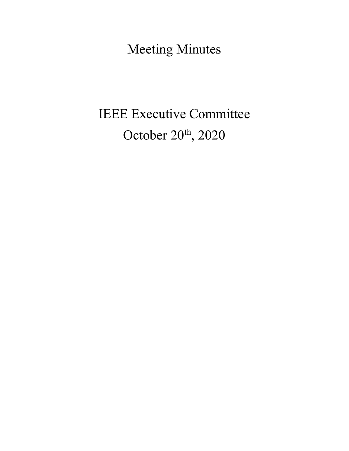Meeting Minutes

# IEEE Executive Committee October 20<sup>th</sup>, 2020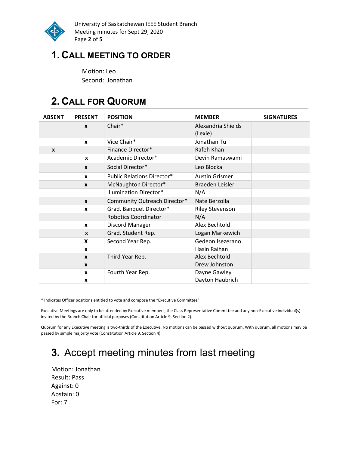

University of Saskatchewan IEEE Student Branch Meeting minutes for Sept 29, 2020 Page 2 of 5

## 1. CALL MEETING TO ORDER

Motion: Leo Second: Jonathan

# 2. CALL FOR QUORUM

| <b>ABSENT</b> | <b>PRESENT</b>   | <b>POSITION</b>                   | <b>MEMBER</b>          | <b>SIGNATURES</b> |
|---------------|------------------|-----------------------------------|------------------------|-------------------|
|               | $\boldsymbol{x}$ | Chair*                            | Alexandria Shields     |                   |
|               |                  |                                   | (Lexie)                |                   |
|               | $\mathbf{x}$     | Vice Chair*                       | Jonathan Tu            |                   |
| X             |                  | Finance Director*                 | Rafeh Khan             |                   |
|               | $\boldsymbol{x}$ | Academic Director*                | Devin Ramaswami        |                   |
|               | $\mathbf{x}$     | Social Director*                  | Leo Blocka             |                   |
|               | $\mathbf{x}$     | <b>Public Relations Director*</b> | <b>Austin Grismer</b>  |                   |
|               | $\mathbf{x}$     | McNaughton Director*              | Braeden Leisler        |                   |
|               |                  | <b>Illumination Director*</b>     | N/A                    |                   |
|               | $\mathbf{x}$     | Community Outreach Director*      | Nate Berzolla          |                   |
|               | X                | Grad. Banquet Director*           | <b>Riley Stevenson</b> |                   |
|               |                  | <b>Robotics Coordinator</b>       | N/A                    |                   |
|               | $\mathbf{x}$     | Discord Manager                   | Alex Bechtold          |                   |
|               | $\mathbf{x}$     | Grad. Student Rep.                | Logan Markewich        |                   |
|               | X                | Second Year Rep.                  | Gedeon Isezerano       |                   |
|               | X                |                                   | Hasin Raihan           |                   |
|               | $\mathbf{x}$     | Third Year Rep.                   | Alex Bechtold          |                   |
|               | $\boldsymbol{x}$ |                                   | Drew Johnston          |                   |
|               | $\mathbf{x}$     | Fourth Year Rep.                  | Dayne Gawley           |                   |
|               | X                |                                   | Dayton Haubrich        |                   |

\* Indicates Officer positions entitled to vote and compose the "Executive Committee".

Executive Meetings are only to be attended by Executive members, the Class Representative Committee and any non-Executive individual(s) invited by the Branch Chair for official purposes (Constitution Article 9, Section 2).

Quorum for any Executive meeting is two-thirds of the Executive. No motions can be passed without quorum. With quorum, all motions may be passed by simple majority vote (Constitution Article 9, Section 4).

# 3. Accept meeting minutes from last meeting

Motion: Jonathan Result: Pass Against: 0 Abstain: 0 For: 7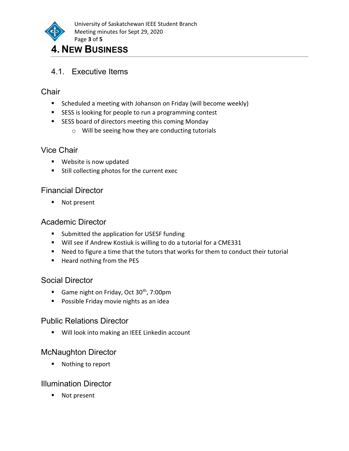

# 4.1. Executive Items

### **Chair**

- **Scheduled a meeting with Johanson on Friday (will become weekly)**
- **SESS** is looking for people to run a programming contest
- **SESS board of directors meeting this coming Monday** 
	- o Will be seeing how they are conducting tutorials

#### Vice Chair

- **Website is now updated**
- **Still collecting photos for the current exec**

#### Financial Director

■ Not present

#### Academic Director

- Submitted the application for USESF funding
- Will see if Andrew Kostiuk is willing to do a tutorial for a CME331
- Need to figure a time that the tutors that works for them to conduct their tutorial
- Heard nothing from the PES

#### Social Director

- Game night on Friday, Oct  $30<sup>th</sup>$ , 7:00pm
- **Possible Friday movie nights as an idea**

#### Public Relations Director

**Will look into making an IEEE Linkedin account** 

#### McNaughton Director

■ Nothing to report

#### Illumination Director

■ Not present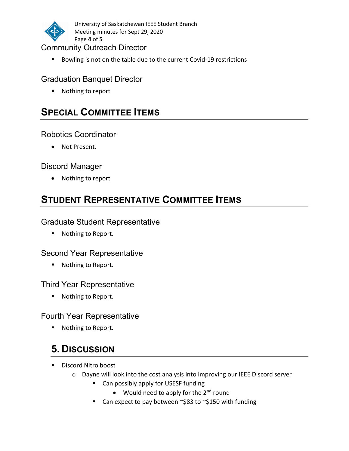

University of Saskatchewan IEEE Student Branch Meeting minutes for Sept 29, 2020 Page 4 of 5

#### Community Outreach Director

Bowling is not on the table due to the current Covid-19 restrictions

#### Graduation Banquet Director

■ Nothing to report

### SPECIAL COMMITTEE ITEMS

#### Robotics Coordinator

Not Present.

#### Discord Manager

• Nothing to report

# STUDENT REPRESENTATIVE COMMITTEE ITEMS

#### Graduate Student Representative

■ Nothing to Report.

#### Second Year Representative

■ Nothing to Report.

#### Third Year Representative

■ Nothing to Report.

#### Fourth Year Representative

■ Nothing to Report.

# 5. DISCUSSION

- Discord Nitro boost
	- o Dayne will look into the cost analysis into improving our IEEE Discord server
		- Can possibly apply for USESF funding
			- Would need to apply for the 2<sup>nd</sup> round
		- Can expect to pay between ~\$83 to ~\$150 with funding